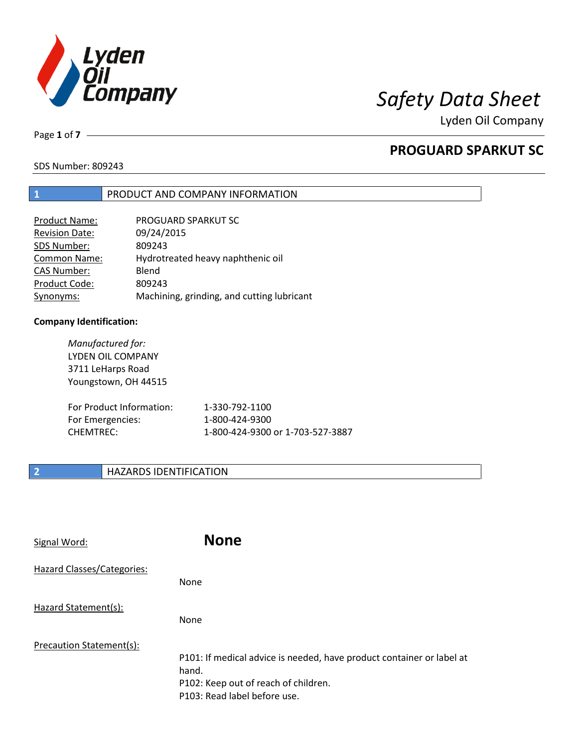

Page **1** of **7**

## **PROGUARD SPARKUT SC**

SDS Number: 809243

### **1** PRODUCT AND COMPANY INFORMATION

| <b>Product Name:</b>  | PROGUARD SPARKUT SC                        |
|-----------------------|--------------------------------------------|
| <b>Revision Date:</b> | 09/24/2015                                 |
| SDS Number:           | 809243                                     |
| <b>Common Name:</b>   | Hydrotreated heavy naphthenic oil          |
| <b>CAS Number:</b>    | Blend                                      |
| Product Code:         | 809243                                     |
| Synonyms:             | Machining, grinding, and cutting lubricant |

### **Company Identification:**

| Manufactured for:<br>LYDEN OIL COMPANY<br>3711 LeHarps Road<br>Youngstown, OH 44515 |                                  |
|-------------------------------------------------------------------------------------|----------------------------------|
| For Product Information:                                                            | 1-330-792-1100                   |
| For Emergencies:                                                                    | 1-800-424-9300                   |
| <b>CHEMTREC:</b>                                                                    | 1-800-424-9300 or 1-703-527-3887 |

## **2 HAZARDS IDENTIFICATION**

| Signal Word:               | <b>None</b>                                                                                                                                            |
|----------------------------|--------------------------------------------------------------------------------------------------------------------------------------------------------|
| Hazard Classes/Categories: | <b>None</b>                                                                                                                                            |
| Hazard Statement(s):       | <b>None</b>                                                                                                                                            |
| Precaution Statement(s):   | P101: If medical advice is needed, have product container or label at<br>hand.<br>P102: Keep out of reach of children.<br>P103: Read label before use. |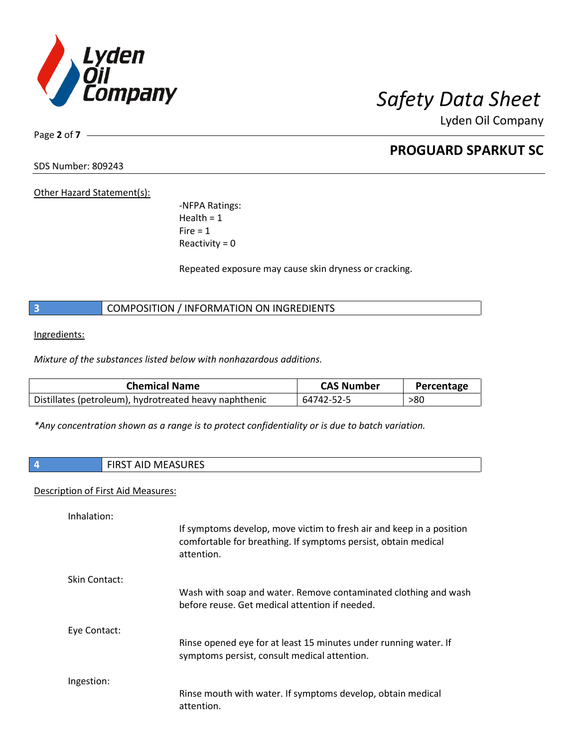

Page **2** of **7**

## **PROGUARD SPARKUT SC**

SDS Number: 809243

Other Hazard Statement(s):

-NFPA Ratings:  $Health = 1$  $Fire = 1$ Reactivity  $= 0$ 

Repeated exposure may cause skin dryness or cracking.

**3** COMPOSITION / INFORMATION ON INGREDIENTS

Ingredients:

*Mixture of the substances listed below with nonhazardous additions.*

| <b>Chemical Name</b>                                   | <b>CAS Number</b> | Percentage |
|--------------------------------------------------------|-------------------|------------|
| Distillates (petroleum), hydrotreated heavy naphthenic | 64742-52-5        | >80        |

*\*Any concentration shown as a range is to protect confidentiality or is due to batch variation.*

| <b>FIRST AID MEASURES</b><br>כאחטו<br>ᄁ<br>. . |
|------------------------------------------------|
|                                                |

### Description of First Aid Measures:

| Inhalation:   | If symptoms develop, move victim to fresh air and keep in a position<br>comfortable for breathing. If symptoms persist, obtain medical<br>attention. |
|---------------|------------------------------------------------------------------------------------------------------------------------------------------------------|
| Skin Contact: | Wash with soap and water. Remove contaminated clothing and wash<br>before reuse. Get medical attention if needed.                                    |
| Eye Contact:  | Rinse opened eye for at least 15 minutes under running water. If<br>symptoms persist, consult medical attention.                                     |
| Ingestion:    | Rinse mouth with water. If symptoms develop, obtain medical<br>attention.                                                                            |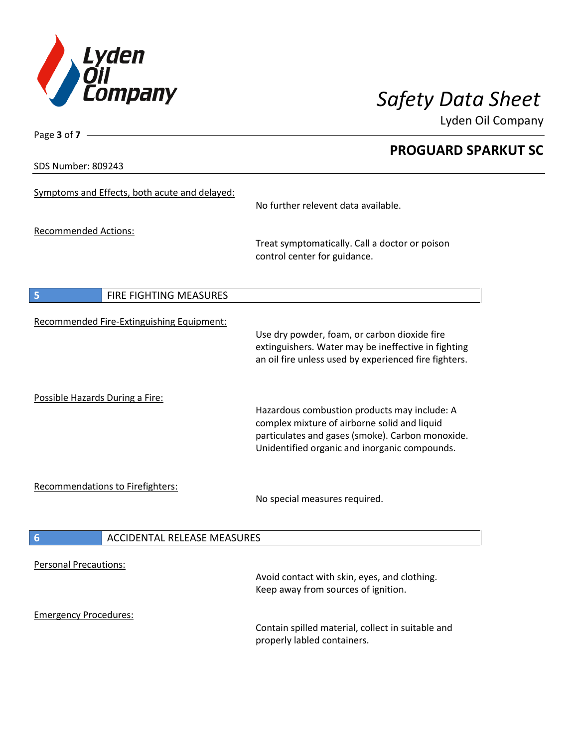

SDS Number: 809243

Page **3** of **7**

## **PROGUARD SPARKUT SC**

| Symptoms and Effects, both acute and delayed:         | No further relevent data available.                                                                                                                                                               |
|-------------------------------------------------------|---------------------------------------------------------------------------------------------------------------------------------------------------------------------------------------------------|
| <b>Recommended Actions:</b>                           | Treat symptomatically. Call a doctor or poison<br>control center for guidance.                                                                                                                    |
| FIRE FIGHTING MEASURES<br>5                           |                                                                                                                                                                                                   |
| Recommended Fire-Extinguishing Equipment:             | Use dry powder, foam, or carbon dioxide fire<br>extinguishers. Water may be ineffective in fighting<br>an oil fire unless used by experienced fire fighters.                                      |
| Possible Hazards During a Fire:                       | Hazardous combustion products may include: A<br>complex mixture of airborne solid and liquid<br>particulates and gases (smoke). Carbon monoxide.<br>Unidentified organic and inorganic compounds. |
| <b>Recommendations to Firefighters:</b>               | No special measures required.                                                                                                                                                                     |
| <b>ACCIDENTAL RELEASE MEASURES</b><br>$6\phantom{1}6$ |                                                                                                                                                                                                   |
| <b>Personal Precautions:</b>                          | Avoid contact with skin, eyes, and clothing.<br>Keep away from sources of ignition.                                                                                                               |
| <b>Emergency Procedures:</b>                          | Contain spilled material, collect in suitable and<br>properly labled containers.                                                                                                                  |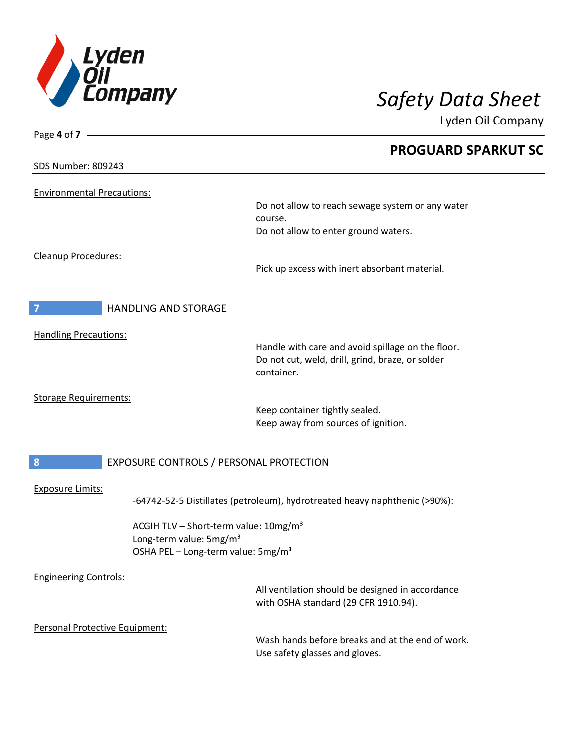

Lyden Oil Company

| Page 4 of 7 –                     |                                                   |                                                                                                       |  |
|-----------------------------------|---------------------------------------------------|-------------------------------------------------------------------------------------------------------|--|
|                                   |                                                   | <b>PROGUARD SPARKUT SC</b>                                                                            |  |
| <b>SDS Number: 809243</b>         |                                                   |                                                                                                       |  |
|                                   |                                                   |                                                                                                       |  |
| <b>Environmental Precautions:</b> |                                                   | Do not allow to reach sewage system or any water                                                      |  |
|                                   |                                                   | course.                                                                                               |  |
|                                   |                                                   | Do not allow to enter ground waters.                                                                  |  |
| <b>Cleanup Procedures:</b>        |                                                   |                                                                                                       |  |
|                                   |                                                   | Pick up excess with inert absorbant material.                                                         |  |
|                                   |                                                   |                                                                                                       |  |
| 7                                 | <b>HANDLING AND STORAGE</b>                       |                                                                                                       |  |
|                                   |                                                   |                                                                                                       |  |
| <b>Handling Precautions:</b>      |                                                   |                                                                                                       |  |
|                                   |                                                   | Handle with care and avoid spillage on the floor.<br>Do not cut, weld, drill, grind, braze, or solder |  |
|                                   |                                                   | container.                                                                                            |  |
|                                   |                                                   |                                                                                                       |  |
| <b>Storage Requirements:</b>      |                                                   | Keep container tightly sealed.                                                                        |  |
|                                   |                                                   | Keep away from sources of ignition.                                                                   |  |
|                                   |                                                   |                                                                                                       |  |
| $\boldsymbol{8}$                  | EXPOSURE CONTROLS / PERSONAL PROTECTION           |                                                                                                       |  |
|                                   |                                                   |                                                                                                       |  |
| <b>Exposure Limits:</b>           |                                                   |                                                                                                       |  |
|                                   |                                                   | -64742-52-5 Distillates (petroleum), hydrotreated heavy naphthenic (>90%):                            |  |
|                                   | ACGIH TLV - Short-term value: 10mg/m <sup>3</sup> |                                                                                                       |  |
|                                   | Long-term value: 5mg/m <sup>3</sup>               |                                                                                                       |  |
|                                   | OSHA PEL - Long-term value: 5mg/m <sup>3</sup>    |                                                                                                       |  |
| <b>Engineering Controls:</b>      |                                                   |                                                                                                       |  |
|                                   |                                                   | All ventilation should be designed in accordance                                                      |  |
|                                   |                                                   | with OSHA standard (29 CFR 1910.94).                                                                  |  |
| Personal Protective Equipment:    |                                                   |                                                                                                       |  |
|                                   |                                                   | Wash hands before breaks and at the end of work.                                                      |  |
|                                   |                                                   | Use safety glasses and gloves.                                                                        |  |
|                                   |                                                   |                                                                                                       |  |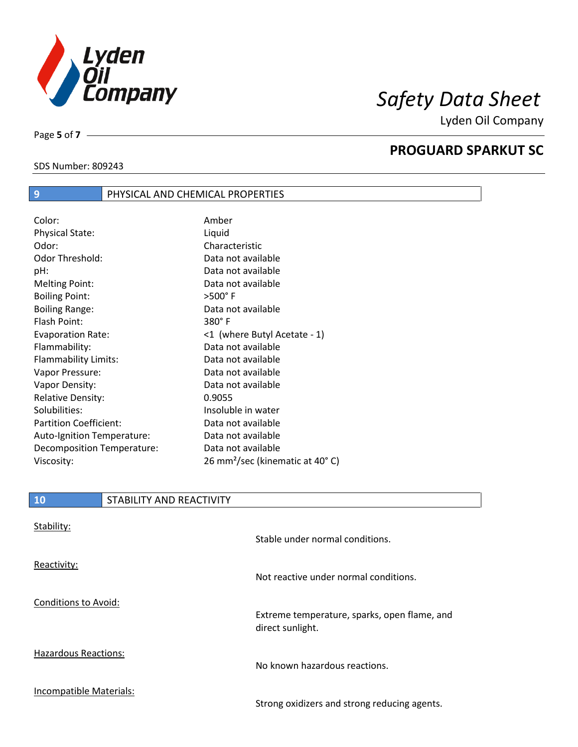

**PROGUARD SPARKUT SC**

Lyden Oil Company

SDS Number: 809243

Page **5** of **7**

## **9** PHYSICAL AND CHEMICAL PROPERTIES

| Color:                        | Amber                                       |
|-------------------------------|---------------------------------------------|
| <b>Physical State:</b>        | Liquid                                      |
| Odor:                         | Characteristic                              |
| Odor Threshold:               | Data not available                          |
| pH:                           | Data not available                          |
| Melting Point:                | Data not available                          |
| <b>Boiling Point:</b>         | $>500^\circ$ F                              |
| <b>Boiling Range:</b>         | Data not available                          |
| Flash Point:                  | $380^\circ$ F                               |
| <b>Evaporation Rate:</b>      | <1 (where Butyl Acetate - 1)                |
| Flammability:                 | Data not available                          |
| Flammability Limits:          | Data not available                          |
| Vapor Pressure:               | Data not available                          |
| Vapor Density:                | Data not available                          |
| <b>Relative Density:</b>      | 0.9055                                      |
| Solubilities:                 | Insoluble in water                          |
| <b>Partition Coefficient:</b> | Data not available                          |
| Auto-Ignition Temperature:    | Data not available                          |
| Decomposition Temperature:    | Data not available                          |
| Viscosity:                    | 26 mm <sup>2</sup> /sec (kinematic at 40°C) |

## **10** STABILITY AND REACTIVITY

| Stability:                  | Stable under normal conditions.                                  |
|-----------------------------|------------------------------------------------------------------|
| Reactivity:                 | Not reactive under normal conditions.                            |
| Conditions to Avoid:        | Extreme temperature, sparks, open flame, and<br>direct sunlight. |
| <b>Hazardous Reactions:</b> | No known hazardous reactions.                                    |
| Incompatible Materials:     | Strong oxidizers and strong reducing agents.                     |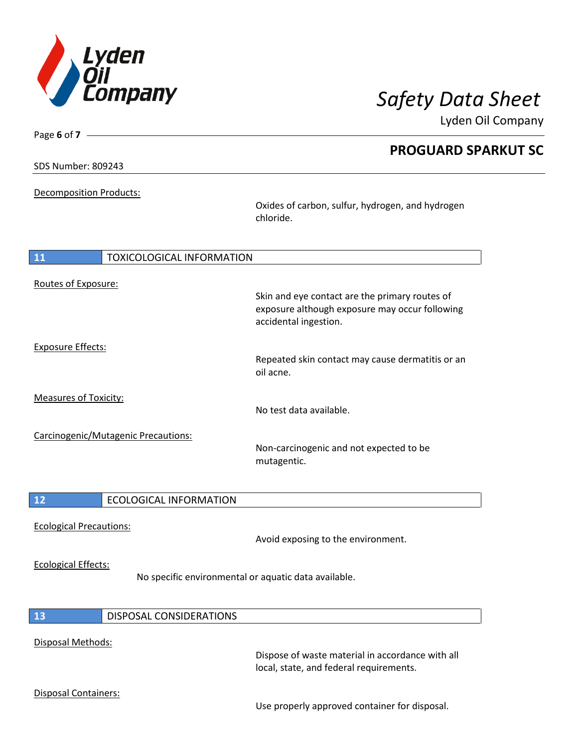

| Page 6 of 7                    |                                     |                                                                                                                           |
|--------------------------------|-------------------------------------|---------------------------------------------------------------------------------------------------------------------------|
|                                |                                     | <b>PROGUARD SPARKUT SC</b>                                                                                                |
| <b>SDS Number: 809243</b>      |                                     |                                                                                                                           |
|                                | <b>Decomposition Products:</b>      |                                                                                                                           |
|                                |                                     | Oxides of carbon, sulfur, hydrogen, and hydrogen<br>chloride.                                                             |
| 11                             | <b>TOXICOLOGICAL INFORMATION</b>    |                                                                                                                           |
| Routes of Exposure:            |                                     |                                                                                                                           |
|                                |                                     | Skin and eye contact are the primary routes of<br>exposure although exposure may occur following<br>accidental ingestion. |
| <b>Exposure Effects:</b>       |                                     |                                                                                                                           |
|                                |                                     | Repeated skin contact may cause dermatitis or an<br>oil acne.                                                             |
| <b>Measures of Toxicity:</b>   |                                     | No test data available.                                                                                                   |
|                                | Carcinogenic/Mutagenic Precautions: |                                                                                                                           |
|                                |                                     | Non-carcinogenic and not expected to be<br>mutagentic.                                                                    |
| 12                             | <b>ECOLOGICAL INFORMATION</b>       |                                                                                                                           |
|                                |                                     |                                                                                                                           |
| <b>Ecological Precautions:</b> |                                     | Avoid exposing to the environment.                                                                                        |
| <b>Ecological Effects:</b>     |                                     | No specific environmental or aquatic data available.                                                                      |
|                                |                                     |                                                                                                                           |

# **13** DISPOSAL CONSIDERATIONS

## Disposal Methods:

Dispose of waste material in accordance with all local, state, and federal requirements.

### Disposal Containers:

Use properly approved container for disposal.